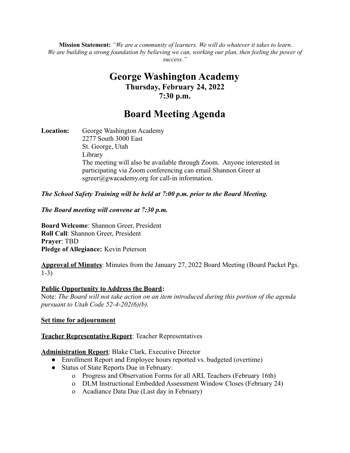**Mission Statement:** *"We are a community of learners. We will do whatever it takes to learn.* We are building a strong foundation by believing we can, working our plan, then feeling the power of *success."*

# **George Washington Academy Thursday, February 24, 2022 7:30 p.m.**

# **Board Meeting Agenda**

**Location:** George Washington Academy 2277 South 3000 East St. George, Utah Library The meeting will also be available through Zoom. Anyone interested in participating via Zoom conferencing can email Shannon Greer at  $sgreen(\hat{a})$ gwacademy.org for call-in information.

*The School Safety Training will be held at 7:00 p.m. prior to the Board Meeting.*

*The Board meeting will convene at 7:30 p.m.*

**Board Welcome**: Shannon Greer, President **Roll Call**: Shannon Greer, President **Prayer**: TBD **Pledge of Allegiance:** Kevin Peterson

**Approval of Minutes**: Minutes from the January 27, 2022 Board Meeting (Board Packet Pgs. 1-3)

#### **Public Opportunity to Address the Board:**

Note: *The Board will not take action on an item introduced during this portion of the agenda pursuant to Utah Code 52-4-202(6)(b).*

## **Set time for adjournment**

## **Teacher Representative Report**: Teacher Representatives

**Administration Report**: Blake Clark, Executive Director

- Enrollment Report and Employee hours reported vs. budgeted (overtime)
- Status of State Reports Due in February:
	- o Progress and Observation Forms for all ARL Teachers (February 16th)
	- o DLM Instructional Embedded Assessment Window Closes (February 24)
	- o Acadiance Data Due (Last day in February)